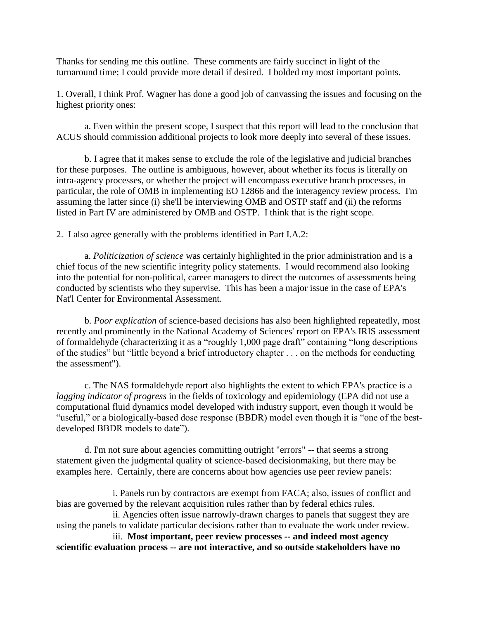Thanks for sending me this outline. These comments are fairly succinct in light of the turnaround time; I could provide more detail if desired. I bolded my most important points.

1. Overall, I think Prof. Wagner has done a good job of canvassing the issues and focusing on the highest priority ones:

a. Even within the present scope, I suspect that this report will lead to the conclusion that ACUS should commission additional projects to look more deeply into several of these issues.

b. I agree that it makes sense to exclude the role of the legislative and judicial branches for these purposes. The outline is ambiguous, however, about whether its focus is literally on intra-agency processes, or whether the project will encompass executive branch processes, in particular, the role of OMB in implementing EO 12866 and the interagency review process. I'm assuming the latter since (i) she'll be interviewing OMB and OSTP staff and (ii) the reforms listed in Part IV are administered by OMB and OSTP. I think that is the right scope.

2. I also agree generally with the problems identified in Part I.A.2:

a. *Politicization of science* was certainly highlighted in the prior administration and is a chief focus of the new scientific integrity policy statements. I would recommend also looking into the potential for non-political, career managers to direct the outcomes of assessments being conducted by scientists who they supervise. This has been a major issue in the case of EPA's Nat'l Center for Environmental Assessment.

b. *Poor explication* of science-based decisions has also been highlighted repeatedly, most recently and prominently in the National Academy of Sciences' report on EPA's IRIS assessment of formaldehyde (characterizing it as a "roughly 1,000 page draft" containing "long descriptions of the studies" but "little beyond a brief introductory chapter . . . on the methods for conducting the assessment").

c. The NAS formaldehyde report also highlights the extent to which EPA's practice is a *lagging indicator of progress* in the fields of toxicology and epidemiology (EPA did not use a computational fluid dynamics model developed with industry support, even though it would be "useful," or a biologically-based dose response (BBDR) model even though it is "one of the bestdeveloped BBDR models to date").

d. I'm not sure about agencies committing outright "errors" -- that seems a strong statement given the judgmental quality of science-based decisionmaking, but there may be examples here. Certainly, there are concerns about how agencies use peer review panels:

i. Panels run by contractors are exempt from FACA; also, issues of conflict and bias are governed by the relevant acquisition rules rather than by federal ethics rules.

ii. Agencies often issue narrowly-drawn charges to panels that suggest they are using the panels to validate particular decisions rather than to evaluate the work under review.

iii. **Most important, peer review processes -- and indeed most agency scientific evaluation process -- are not interactive, and so outside stakeholders have no**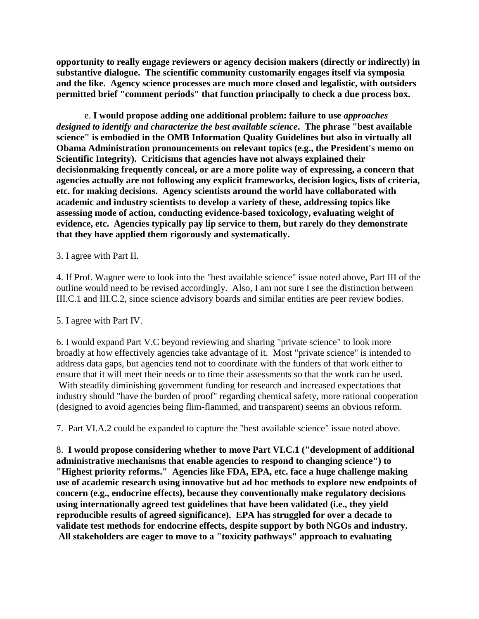**opportunity to really engage reviewers or agency decision makers (directly or indirectly) in substantive dialogue. The scientific community customarily engages itself via symposia and the like. Agency science processes are much more closed and legalistic, with outsiders permitted brief "comment periods" that function principally to check a due process box.**

e. **I would propose adding one additional problem: failure to use** *approaches designed to identify and characterize the best available science***. The phrase "best available science" is embodied in the OMB Information Quality Guidelines but also in virtually all Obama Administration pronouncements on relevant topics (e.g., the President's memo on Scientific Integrity). Criticisms that agencies have not always explained their decisionmaking frequently conceal, or are a more polite way of expressing, a concern that agencies actually are not following any explicit frameworks, decision logics, lists of criteria, etc. for making decisions. Agency scientists around the world have collaborated with academic and industry scientists to develop a variety of these, addressing topics like assessing mode of action, conducting evidence-based toxicology, evaluating weight of evidence, etc. Agencies typically pay lip service to them, but rarely do they demonstrate that they have applied them rigorously and systematically.** 

## 3. I agree with Part II.

4. If Prof. Wagner were to look into the "best available science" issue noted above, Part III of the outline would need to be revised accordingly. Also, I am not sure I see the distinction between III.C.1 and III.C.2, since science advisory boards and similar entities are peer review bodies.

## 5. I agree with Part IV.

6. I would expand Part V.C beyond reviewing and sharing "private science" to look more broadly at how effectively agencies take advantage of it. Most "private science" is intended to address data gaps, but agencies tend not to coordinate with the funders of that work either to ensure that it will meet their needs or to time their assessments so that the work can be used. With steadily diminishing government funding for research and increased expectations that industry should "have the burden of proof" regarding chemical safety, more rational cooperation (designed to avoid agencies being flim-flammed, and transparent) seems an obvious reform.

7. Part VI.A.2 could be expanded to capture the "best available science" issue noted above.

8. **I would propose considering whether to move Part VI.C.1 ("development of additional administrative mechanisms that enable agencies to respond to changing science") to "Highest priority reforms." Agencies like FDA, EPA, etc. face a huge challenge making use of academic research using innovative but ad hoc methods to explore new endpoints of concern (e.g., endocrine effects), because they conventionally make regulatory decisions using internationally agreed test guidelines that have been validated (i.e., they yield reproducible results of agreed significance). EPA has struggled for over a decade to validate test methods for endocrine effects, despite support by both NGOs and industry. All stakeholders are eager to move to a "toxicity pathways" approach to evaluating**